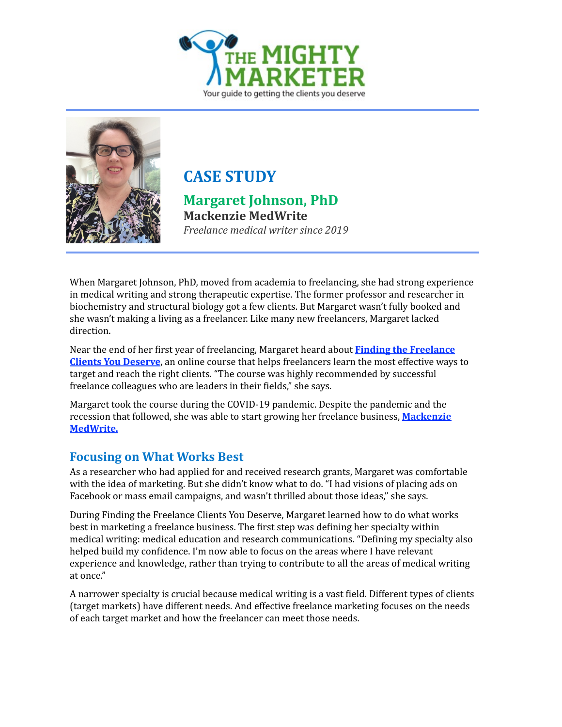



# **CASE STUDY**

**Margaret Johnson, PhD Mackenzie MedWrite**  *Freelance medical writer since* 2019

When Margaret Johnson, PhD, moved from academia to freelancing, she had strong experience in medical writing and strong therapeutic expertise. The former professor and researcher in biochemistry and structural biology got a few clients. But Margaret wasn't fully booked and she wasn't making a living as a freelancer. Like many new freelancers, Margaret lacked direction. 

Near the end of her first year of freelancing, Margaret heard about **Finding the Freelance Clients You Deserve**, an online course that helps freelancers learn the most effective ways to target and reach the right clients. "The course was highly recommended by successful freelance colleagues who are leaders in their fields," she says.

Margaret took the course during the COVID-19 pandemic. Despite the pandemic and the recession that followed, she was able to start growing her freelance business, **Mackenzie [MedWrite.](https://mackenziemedwrite.com)**

### **Focusing on What Works Best**

As a researcher who had applied for and received research grants, Margaret was comfortable with the idea of marketing. But she didn't know what to do. "I had visions of placing ads on Facebook or mass email campaigns, and wasn't thrilled about those ideas," she says.

During Finding the Freelance Clients You Deserve, Margaret learned how to do what works best in marketing a freelance business. The first step was defining her specialty within medical writing: medical education and research communications. "Defining my specialty also helped build my confidence. I'm now able to focus on the areas where I have relevant experience and knowledge, rather than trying to contribute to all the areas of medical writing at once."

A narrower specialty is crucial because medical writing is a vast field. Different types of clients (target markets) have different needs. And effective freelance marketing focuses on the needs of each target market and how the freelancer can meet those needs.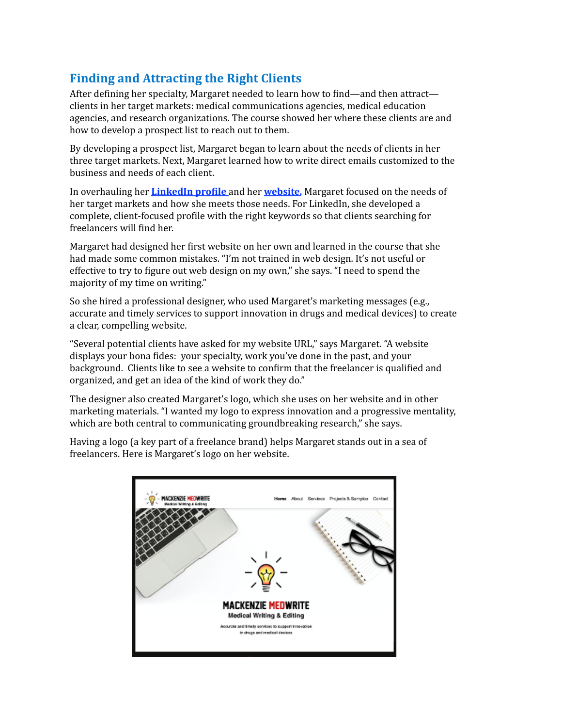## **Finding and Attracting the Right Clients**

After defining her specialty, Margaret needed to learn how to find—and then attract clients in her target markets: medical communications agencies, medical education agencies, and research organizations. The course showed her where these clients are and how to develop a prospect list to reach out to them.

By developing a prospect list, Margaret began to learn about the needs of clients in her three target markets. Next, Margaret learned how to write direct emails customized to the business and needs of each client.

In overhauling her **LinkedIn profile** and her **website**, Margaret focused on the needs of her target markets and how she meets those needs. For LinkedIn, she developed a complete, client-focused profile with the right keywords so that clients searching for freelancers will find her.

Margaret had designed her first website on her own and learned in the course that she had made some common mistakes. "I'm not trained in web design. It's not useful or effective to try to figure out web design on my own," she says. "I need to spend the majority of my time on writing."

So she hired a professional designer, who used Margaret's marketing messages (e.g., accurate and timely services to support innovation in drugs and medical devices) to create a clear, compelling website.

"Several potential clients have asked for my website URL," says Margaret. "A website displays your bona fides: your specialty, work you've done in the past, and your background. Clients like to see a website to confirm that the freelancer is qualified and organized, and get an idea of the kind of work they do."

The designer also created Margaret's logo, which she uses on her website and in other marketing materials. "I wanted my logo to express innovation and a progressive mentality, which are both central to communicating groundbreaking research," she says.

Having a logo (a key part of a freelance brand) helps Margaret stands out in a sea of freelancers. Here is Margaret's logo on her website.